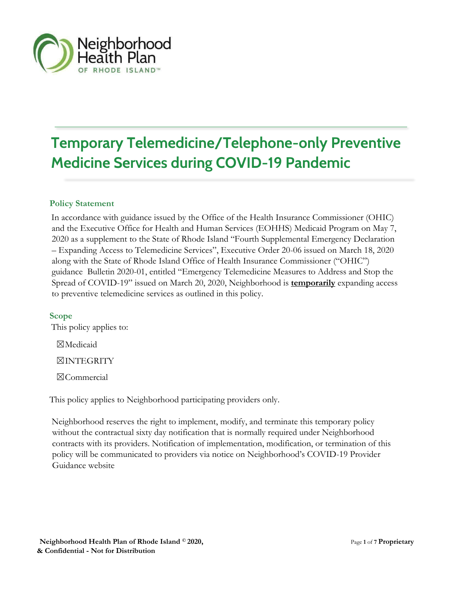

# **Temporary Telemedicine/Telephone-only Preventive Medicine Services during COVID-19 Pandemic**

#### **Policy Statement**

In accordance with guidance issued by the Office of the Health Insurance Commissioner (OHIC) and the Executive Office for Health and Human Services (EOHHS) Medicaid Program on May 7, 2020 as a supplement to the State of Rhode Island "Fourth Supplemental Emergency Declaration – Expanding Access to Telemedicine Services", Executive Order 20-06 issued on March 18, 2020 along with the State of Rhode Island Office of Health Insurance Commissioner ("OHIC") guidance Bulletin 2020-01, entitled "Emergency Telemedicine Measures to Address and Stop the Spread of COVID-19" issued on March 20, 2020, Neighborhood is **temporarily** expanding access to preventive telemedicine services as outlined in this policy.

**Scope**  This policy applies to: ☒Medicaid

☒INTEGRITY

☒Commercial

This policy applies to Neighborhood participating providers only.

Neighborhood reserves the right to implement, modify, and terminate this temporary policy without the contractual sixty day notification that is normally required under Neighborhood contracts with its providers. Notification of implementation, modification, or termination of this policy will be communicated to providers via notice on Neighborhood's COVID-19 Provider Guidance website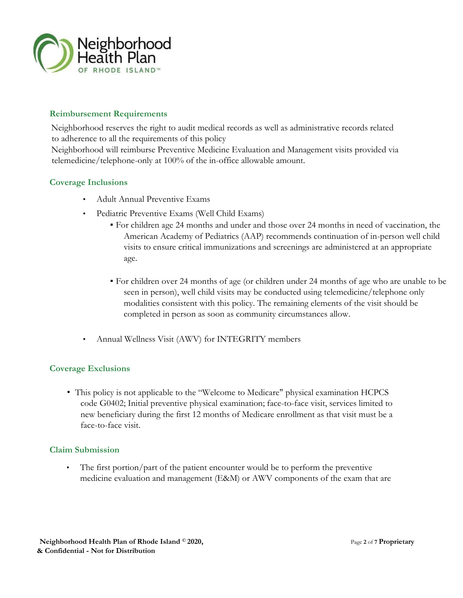

## **Reimbursement Requirements**

Neighborhood reserves the right to audit medical records as well as administrative records related to adherence to all the requirements of this policy

Neighborhood will reimburse Preventive Medicine Evaluation and Management visits provided via telemedicine/telephone-only at 100% of the in-office allowable amount.

#### **Coverage Inclusions**

- Adult Annual Preventive Exams
- Pediatric Preventive Exams (Well Child Exams)
	- For children age 24 months and under and those over 24 months in need of vaccination, the American Academy of Pediatrics (AAP) recommends continuation of in-person well child visits to ensure critical immunizations and screenings are administered at an appropriate age.
	- For children over 24 months of age (or children under 24 months of age who are unable to be seen in person), well child visits may be conducted using telemedicine/telephone only modalities consistent with this policy. The remaining elements of the visit should be completed in person as soon as community circumstances allow.
- Annual Wellness Visit (AWV) for INTEGRITY members

#### **Coverage Exclusions**

• This policy is not applicable to the "Welcome to Medicare" physical examination HCPCS code G0402; Initial preventive physical examination; face-to-face visit, services limited to new beneficiary during the first 12 months of Medicare enrollment as that visit must be a face-to-face visit.

#### **Claim Submission**

• The first portion/part of the patient encounter would be to perform the preventive medicine evaluation and management (E&M) or AWV components of the exam that are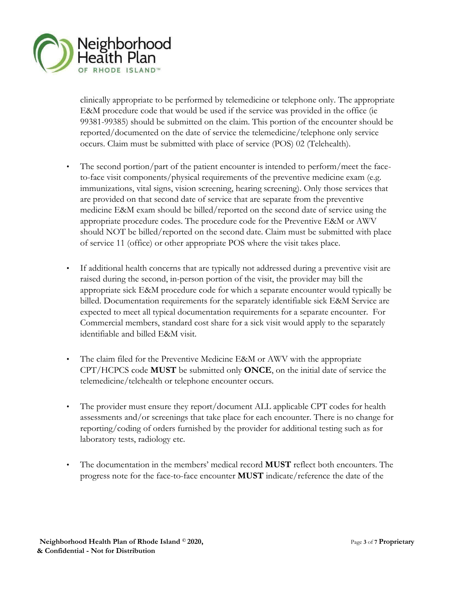

clinically appropriate to be performed by telemedicine or telephone only. The appropriate E&M procedure code that would be used if the service was provided in the office (ie 99381-99385) should be submitted on the claim. This portion of the encounter should be reported/documented on the date of service the telemedicine/telephone only service occurs. Claim must be submitted with place of service (POS) 02 (Telehealth).

- The second portion/part of the patient encounter is intended to perform/meet the faceto-face visit components/physical requirements of the preventive medicine exam (e.g. immunizations, vital signs, vision screening, hearing screening). Only those services that are provided on that second date of service that are separate from the preventive medicine E&M exam should be billed/reported on the second date of service using the appropriate procedure codes. The procedure code for the Preventive E&M or AWV should NOT be billed/reported on the second date. Claim must be submitted with place of service 11 (office) or other appropriate POS where the visit takes place.
- If additional health concerns that are typically not addressed during a preventive visit are raised during the second, in-person portion of the visit, the provider may bill the appropriate sick E&M procedure code for which a separate encounter would typically be billed. Documentation requirements for the separately identifiable sick E&M Service are expected to meet all typical documentation requirements for a separate encounter. For Commercial members, standard cost share for a sick visit would apply to the separately identifiable and billed E&M visit.
- The claim filed for the Preventive Medicine E&M or AWV with the appropriate CPT/HCPCS code **MUST** be submitted only **ONCE**, on the initial date of service the telemedicine/telehealth or telephone encounter occurs.
- The provider must ensure they report/document ALL applicable CPT codes for health assessments and/or screenings that take place for each encounter. There is no change for reporting/coding of orders furnished by the provider for additional testing such as for laboratory tests, radiology etc.
- The documentation in the members' medical record **MUST** reflect both encounters. The progress note for the face-to-face encounter **MUST** indicate/reference the date of the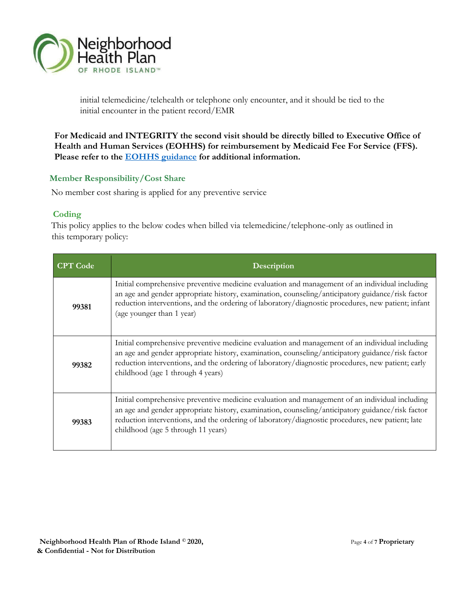

initial telemedicine/telehealth or telephone only encounter, and it should be tied to the initial encounter in the patient record/EMR

**For Medicaid and INTEGRITY the second visit should be directly billed to Executive Office of Health and Human Services (EOHHS) for reimbursement by Medicaid Fee For Service (FFS). Please refer to the [EOHHS guidance](https://urldefense.proofpoint.com/v2/url?u=http-3A__www.eohhs.ri.gov_Portals_0_Uploads_Documents_ReferenceCenter_FINAL-2520OHIC-2DEOHHS-2520Telemedicine-2520Preventive-2520Care-2520Guidance-25202020-252005-252007.pdf&d=DwMFAg&c=Zmm8KZORMi3_IbvgAujzkQ&r=6ea7eu4m-UdTsS0bXZnUoGNxxxXb31DzXpcS81qrO6Y&m=g9dxGKVvN8Pk3Er-CvU22wYgxsm3-8GgEhuWo-TzaVo&s=AYHBxlyR5hRGeTrUwihpm5E8rZweyaqrYPwt1P1CQiM&e=) [for](https://urldefense.proofpoint.com/v2/url?u=http-3A__www.eohhs.ri.gov_Portals_0_Uploads_Documents_ReferenceCenter_FINAL-2520OHIC-2DEOHHS-2520Telemedicine-2520Preventive-2520Care-2520Guidance-25202020-252005-252007.pdf&d=DwMFAg&c=Zmm8KZORMi3_IbvgAujzkQ&r=6ea7eu4m-UdTsS0bXZnUoGNxxxXb31DzXpcS81qrO6Y&m=g9dxGKVvN8Pk3Er-CvU22wYgxsm3-8GgEhuWo-TzaVo&s=AYHBxlyR5hRGeTrUwihpm5E8rZweyaqrYPwt1P1CQiM&e=) additional information.** 

#### **Member Responsibility/Cost Share**

No member cost sharing is applied for any preventive service

#### **Coding**

This policy applies to the below codes when billed via telemedicine/telephone-only as outlined in this temporary policy:

| <b>CPT</b> Code | <b>Description</b>                                                                                                                                                                                                                                                                                                                           |
|-----------------|----------------------------------------------------------------------------------------------------------------------------------------------------------------------------------------------------------------------------------------------------------------------------------------------------------------------------------------------|
| 99381           | Initial comprehensive preventive medicine evaluation and management of an individual including<br>an age and gender appropriate history, examination, counseling/anticipatory guidance/risk factor<br>reduction interventions, and the ordering of laboratory/diagnostic procedures, new patient; infant<br>(age younger than 1 year)        |
| 99382           | Initial comprehensive preventive medicine evaluation and management of an individual including<br>an age and gender appropriate history, examination, counseling/anticipatory guidance/risk factor<br>reduction interventions, and the ordering of laboratory/diagnostic procedures, new patient; early<br>childhood (age 1 through 4 years) |
| 99383           | Initial comprehensive preventive medicine evaluation and management of an individual including<br>an age and gender appropriate history, examination, counseling/anticipatory guidance/risk factor<br>reduction interventions, and the ordering of laboratory/diagnostic procedures, new patient; late<br>childhood (age 5 through 11 years) |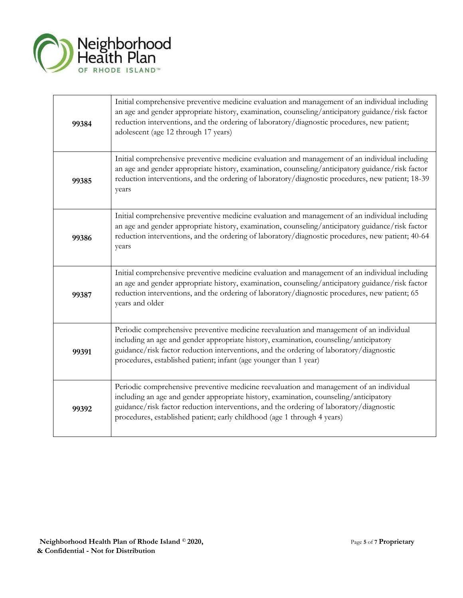

| 99384 | Initial comprehensive preventive medicine evaluation and management of an individual including<br>an age and gender appropriate history, examination, counseling/anticipatory guidance/risk factor<br>reduction interventions, and the ordering of laboratory/diagnostic procedures, new patient;<br>adolescent (age 12 through 17 years)               |
|-------|---------------------------------------------------------------------------------------------------------------------------------------------------------------------------------------------------------------------------------------------------------------------------------------------------------------------------------------------------------|
| 99385 | Initial comprehensive preventive medicine evaluation and management of an individual including<br>an age and gender appropriate history, examination, counseling/anticipatory guidance/risk factor<br>reduction interventions, and the ordering of laboratory/diagnostic procedures, new patient; 18-39<br>years                                        |
| 99386 | Initial comprehensive preventive medicine evaluation and management of an individual including<br>an age and gender appropriate history, examination, counseling/anticipatory guidance/risk factor<br>reduction interventions, and the ordering of laboratory/diagnostic procedures, new patient; 40-64<br>years                                        |
| 99387 | Initial comprehensive preventive medicine evaluation and management of an individual including<br>an age and gender appropriate history, examination, counseling/anticipatory guidance/risk factor<br>reduction interventions, and the ordering of laboratory/diagnostic procedures, new patient; 65<br>years and older                                 |
| 99391 | Periodic comprehensive preventive medicine reevaluation and management of an individual<br>including an age and gender appropriate history, examination, counseling/anticipatory<br>guidance/risk factor reduction interventions, and the ordering of laboratory/diagnostic<br>procedures, established patient; infant (age younger than 1 year)        |
| 99392 | Periodic comprehensive preventive medicine reevaluation and management of an individual<br>including an age and gender appropriate history, examination, counseling/anticipatory<br>guidance/risk factor reduction interventions, and the ordering of laboratory/diagnostic<br>procedures, established patient; early childhood (age 1 through 4 years) |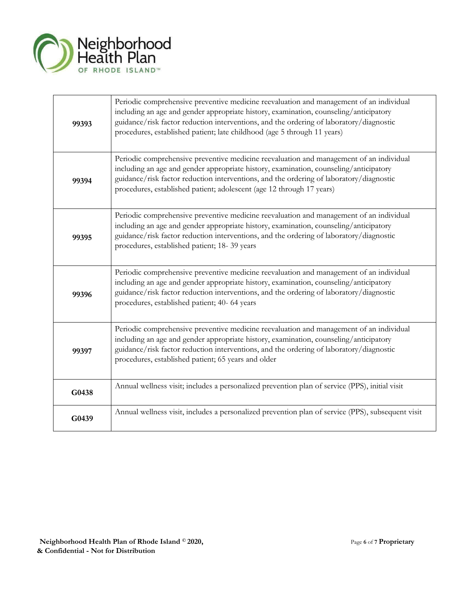

| 99393 | Periodic comprehensive preventive medicine reevaluation and management of an individual<br>including an age and gender appropriate history, examination, counseling/anticipatory<br>guidance/risk factor reduction interventions, and the ordering of laboratory/diagnostic<br>procedures, established patient; late childhood (age 5 through 11 years) |
|-------|---------------------------------------------------------------------------------------------------------------------------------------------------------------------------------------------------------------------------------------------------------------------------------------------------------------------------------------------------------|
| 99394 | Periodic comprehensive preventive medicine reevaluation and management of an individual<br>including an age and gender appropriate history, examination, counseling/anticipatory<br>guidance/risk factor reduction interventions, and the ordering of laboratory/diagnostic<br>procedures, established patient; adolescent (age 12 through 17 years)    |
| 99395 | Periodic comprehensive preventive medicine reevaluation and management of an individual<br>including an age and gender appropriate history, examination, counseling/anticipatory<br>guidance/risk factor reduction interventions, and the ordering of laboratory/diagnostic<br>procedures, established patient; 18-39 years                             |
| 99396 | Periodic comprehensive preventive medicine reevaluation and management of an individual<br>including an age and gender appropriate history, examination, counseling/anticipatory<br>guidance/risk factor reduction interventions, and the ordering of laboratory/diagnostic<br>procedures, established patient; 40- 64 years                            |
| 99397 | Periodic comprehensive preventive medicine reevaluation and management of an individual<br>including an age and gender appropriate history, examination, counseling/anticipatory<br>guidance/risk factor reduction interventions, and the ordering of laboratory/diagnostic<br>procedures, established patient; 65 years and older                      |
| G0438 | Annual wellness visit; includes a personalized prevention plan of service (PPS), initial visit                                                                                                                                                                                                                                                          |
| G0439 | Annual wellness visit, includes a personalized prevention plan of service (PPS), subsequent visit                                                                                                                                                                                                                                                       |